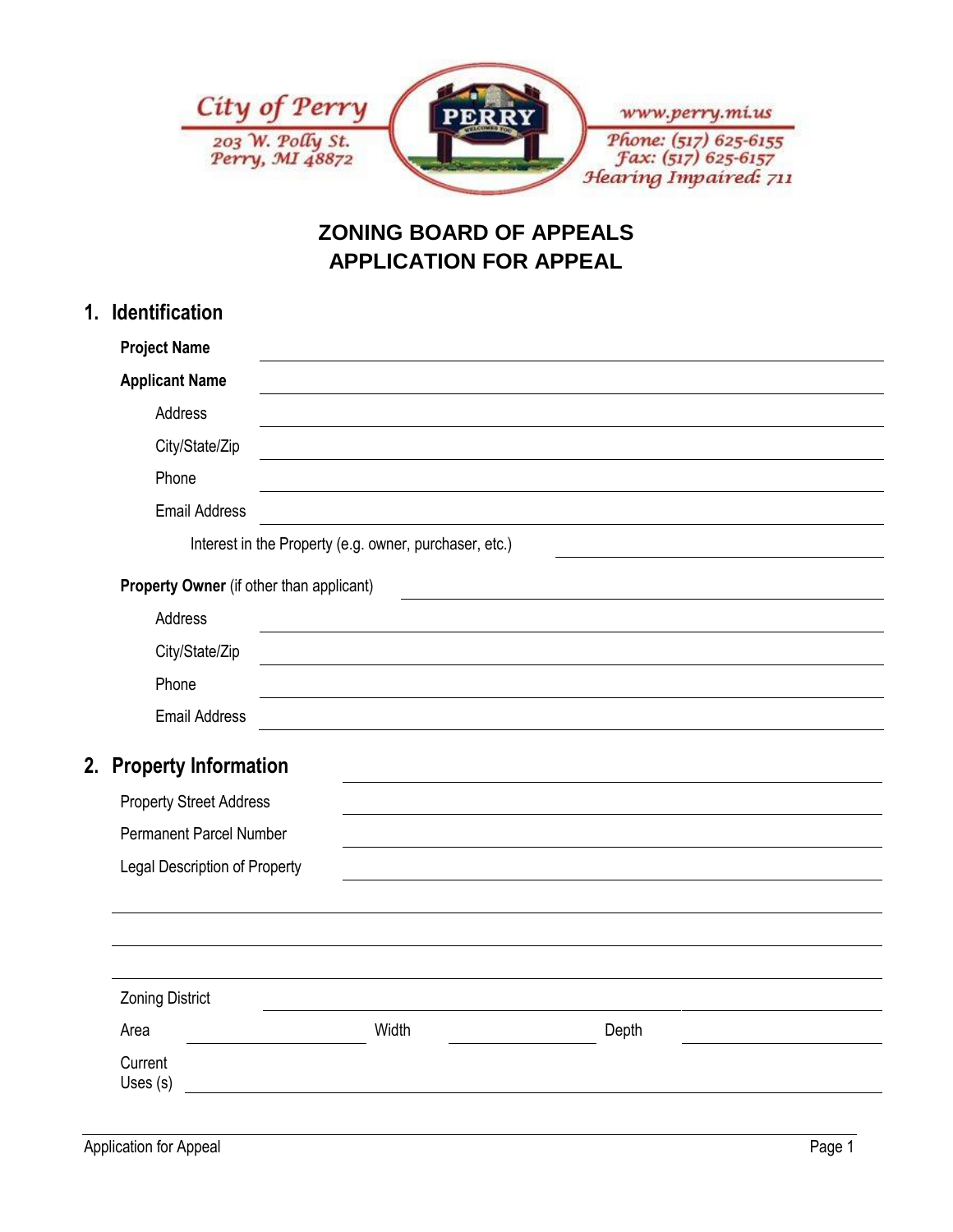

## **ZONING BOARD OF APPEALS APPLICATION FOR APPEAL**

| 1. | <b>Identification</b>                                                                                |                                                            |       |  |  |
|----|------------------------------------------------------------------------------------------------------|------------------------------------------------------------|-------|--|--|
|    | <b>Project Name</b>                                                                                  |                                                            |       |  |  |
|    | <b>Applicant Name</b>                                                                                |                                                            |       |  |  |
|    | Address                                                                                              |                                                            |       |  |  |
|    | City/State/Zip                                                                                       |                                                            |       |  |  |
|    | Phone                                                                                                |                                                            |       |  |  |
|    | <b>Email Address</b>                                                                                 |                                                            |       |  |  |
|    | Interest in the Property (e.g. owner, purchaser, etc.)                                               |                                                            |       |  |  |
|    | Property Owner (if other than applicant)<br><u> 1989 - Jan Stein Stein, fransk politik (f. 1989)</u> |                                                            |       |  |  |
|    | Address                                                                                              |                                                            |       |  |  |
|    | City/State/Zip                                                                                       | <u> 1989 - Johann Barbara, martxa alemaniar amerikan a</u> |       |  |  |
|    | Phone                                                                                                |                                                            |       |  |  |
|    | <b>Email Address</b>                                                                                 |                                                            |       |  |  |
|    | 2. Property Information                                                                              |                                                            |       |  |  |
|    | <b>Property Street Address</b>                                                                       |                                                            |       |  |  |
|    | <b>Permanent Parcel Number</b>                                                                       |                                                            |       |  |  |
|    | Legal Description of Property                                                                        |                                                            |       |  |  |
|    |                                                                                                      |                                                            |       |  |  |
|    |                                                                                                      |                                                            |       |  |  |
|    |                                                                                                      |                                                            |       |  |  |
|    | <b>Zoning District</b>                                                                               |                                                            |       |  |  |
|    | Area                                                                                                 | Width                                                      | Depth |  |  |
|    | Current<br>Uses (s)                                                                                  |                                                            |       |  |  |
|    |                                                                                                      |                                                            |       |  |  |